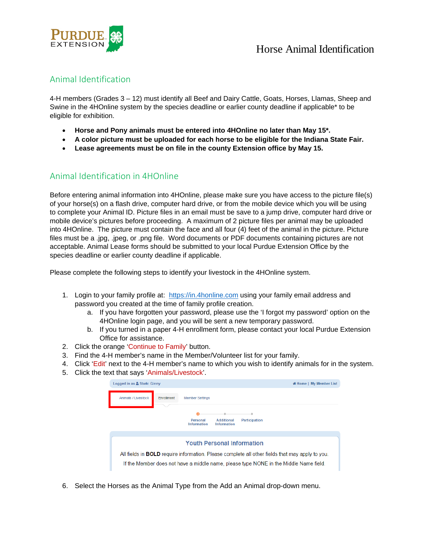

## Animal Identification

4-H members (Grades 3 – 12) must identify all Beef and Dairy Cattle, Goats, Horses, Llamas, Sheep and Swine in the 4HOnline system by the species deadline or earlier county deadline if applicable\* to be eligible for exhibition.

- **Horse and Pony animals must be entered into 4HOnline no later than May 15\*.**
- **A color picture must be uploaded for each horse to be eligible for the Indiana State Fair.**
- **Lease agreements must be on file in the county Extension office by May 15.**

## Animal Identification in 4HOnline

Before entering animal information into 4HOnline, please make sure you have access to the picture file(s) of your horse(s) on a flash drive, computer hard drive, or from the mobile device which you will be using to complete your Animal ID. Picture files in an email must be save to a jump drive, computer hard drive or mobile device's pictures before proceeding. A maximum of 2 picture files per animal may be uploaded into 4HOnline. The picture must contain the face and all four (4) feet of the animal in the picture. Picture files must be a .jpg, .jpeg, or .png file. Word documents or PDF documents containing pictures are not acceptable. Animal Lease forms should be submitted to your local Purdue Extension Office by the species deadline or earlier county deadline if applicable.

Please complete the following steps to identify your livestock in the 4HOnline system.

- 1. Login to your family profile at: https://in.4honline.com using your family email address and password you created at the time of family profile creation.
	- a. If you have forgotten your password, please use the 'I forgot my password' option on the 4HOnline login page, and you will be sent a new temporary password.
	- b. If you turned in a paper 4-H enrollment form, please contact your local Purdue Extension Office for assistance.
- 2. Click the orange 'Continue to Family' button.
- 3. Find the 4-H member's name in the Member/Volunteer list for your family.
- 4. Click 'Edit' next to the 4-H member's name to which you wish to identify animals for in the system.
- 5. Click the text that says 'Animals/Livestock'.

| Logged in as & Stark: Ginny |            |                                |                                         | « Home   My Member List                                                                                                                                                                         |
|-----------------------------|------------|--------------------------------|-----------------------------------------|-------------------------------------------------------------------------------------------------------------------------------------------------------------------------------------------------|
| Animals / Livestock         | Enrollment | <b>Member Settings</b>         |                                         |                                                                                                                                                                                                 |
|                             |            | Personal<br><b>Information</b> | <b>Additional</b><br><b>Information</b> | <b>Participation</b>                                                                                                                                                                            |
|                             |            |                                |                                         | <b>Youth Personal Information</b>                                                                                                                                                               |
|                             |            |                                |                                         | All fields in <b>BOLD</b> require information. Please complete all other fields that may apply to you.<br>If the Member does not have a middle name, please type NONE in the Middle Name field. |

6. Select the Horses as the Animal Type from the Add an Animal drop-down menu.